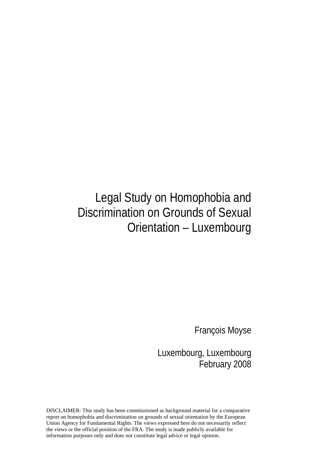# Legal Study on Homophobia and Discrimination on Grounds of Sexual Orientation – Luxembourg

François Moyse

Luxembourg, Luxembourg February 2008

DISCLAIMER: This study has been commissioned as background material for a comparative report on homophobia and discrimination on grounds of sexual orientation by the European Union Agency for Fundamental Rights. The views expressed here do not necessarily reflect the views or the official position of the FRA. The study is made publicly available for information purposes only and does not constitute legal advice or legal opinion.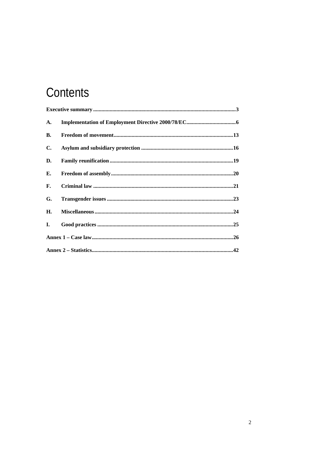# Contents

| A.        |  |  |
|-----------|--|--|
| <b>B.</b> |  |  |
| C.        |  |  |
| D.        |  |  |
| Е.        |  |  |
| F.        |  |  |
| G.        |  |  |
| Н.        |  |  |
| I.        |  |  |
|           |  |  |
|           |  |  |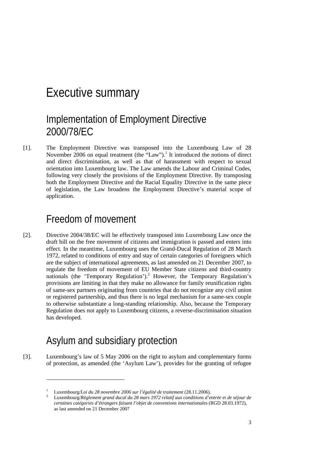### Executive summary

### Implementation of Employment Directive 2000/78/EC

[1]. The Employment Directive was transposed into the Luxembourg Law of 28 November 2006 on equal treatment (the  $\text{``Law''}$ ).<sup>1</sup> It introduced the notions of direct and direct discrimination, as well as that of harassment with respect to sexual orientation into Luxembourg law. The Law amends the Labour and Criminal Codes, following very closely the provisions of the Employment Directive. By transposing both the Employment Directive and the Racial Equality Directive in the same piece of legislation, the Law broadens the Employment Directive's material scope of application.

### Freedom of movement

[2]. Directive 2004/38/EC will be effectively transposed into Luxembourg Law once the draft bill on the free movement of citizens and immigration is passed and enters into effect. In the meantime, Luxembourg uses the Grand-Ducal Regulation of 28 March 1972, related to conditions of entry and stay of certain categories of foreigners which are the subject of international agreements, as last amended on 21 December 2007, to regulate the freedom of movement of EU Member State citizens and third-country nationals (the 'Temporary Regulation').<sup>2</sup> However, the Temporary Regulation's provisions are limiting in that they make no allowance for family reunification rights of same-sex partners originating from countries that do not recognize any civil union or registered partnership, and thus there is no legal mechanism for a same-sex couple to otherwise substantiate a long-standing relationship. Also, because the Temporary Regulation does not apply to Luxembourg citizens, a reverse-discrimination situation has developed.

### Asylum and subsidiary protection

1

[3]. Luxembourg's law of 5 May 2006 on the right to asylum and complementary forms of protection, as amended (the 'Asylum Law'), provides for the granting of refugee

<sup>1</sup> Luxembourg/*Loi du 28 novembre 2006 sur l'égalité de traitement* (28.11.2006).<br><sup>2</sup> Luxembourg/*Règlement* grand ducel du 28 mars 1972 relatif aux conditions d'a

Luxembourg/*Règlement grand ducal du 28 mars 1972 relatif aux conditions d'entrée et de séjour de certaines catégories d'étrangers faisant l'objet de conventions internationales* (RGD 28.03.1972), as last amended on 21 December 2007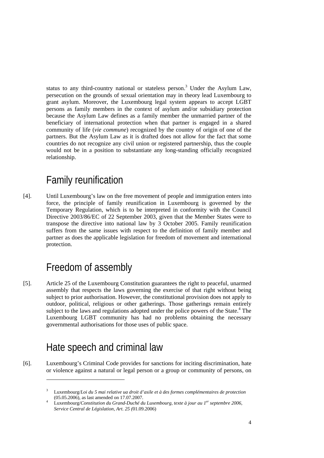status to any third-country national or stateless person.<sup>3</sup> Under the Asylum Law, persecution on the grounds of sexual orientation may in theory lead Luxembourg to grant asylum. Moreover, the Luxembourg legal system appears to accept LGBT persons as family members in the context of asylum and/or subsidiary protection because the Asylum Law defines as a family member the unmarried partner of the beneficiary of international protection when that partner is engaged in a shared community of life (*vie commune*) recognized by the country of origin of one of the partners. But the Asylum Law as it is drafted does not allow for the fact that some countries do not recognize any civil union or registered partnership, thus the couple would not be in a position to substantiate any long-standing officially recognized relationship.

### Family reunification

[4]. Until Luxembourg's law on the free movement of people and immigration enters into force, the principle of family reunification in Luxembourg is governed by the Temporary Regulation, which is to be interpreted in conformity with the Council Directive 2003/86/EC of 22 September 2003, given that the Member States were to transpose the directive into national law by 3 October 2005. Family reunification suffers from the same issues with respect to the definition of family member and partner as does the applicable legislation for freedom of movement and international protection.

### Freedom of assembly

[5]. Article 25 of the Luxembourg Constitution guarantees the right to peaceful, unarmed assembly that respects the laws governing the exercise of that right without being subject to prior authorisation. However, the constitutional provision does not apply to outdoor, political, religious or other gatherings. Those gatherings remain entirely subject to the laws and regulations adopted under the police powers of the State.<sup>4</sup> The Luxembourg LGBT community has had no problems obtaining the necessary governmental authorisations for those uses of public space.

### Hate speech and criminal law

1

[6]. Luxembourg's Criminal Code provides for sanctions for inciting discrimination, hate or violence against a natural or legal person or a group or community of persons, on

<sup>3</sup> Luxembourg/*Loi du 5 mai relative ua droit d'asile et à des formes complémentaires de protection* (05.05.2006), as last amended on 17.07.2007. 4

Luxembourg/*Constitution du Grand-Duché du Luxembourg, texte à jour au 1er septembre 2006, Service Central de Législation, Art. 25 (*01.09.2006)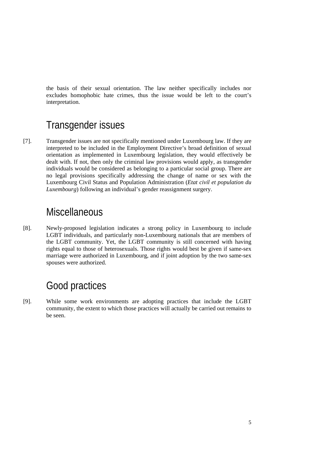the basis of their sexual orientation. The law neither specifically includes nor excludes homophobic hate crimes, thus the issue would be left to the court's interpretation.

### Transgender issues

[7]. Transgender issues are not specifically mentioned under Luxembourg law. If they are interpreted to be included in the Employment Directive's broad definition of sexual orientation as implemented in Luxembourg legislation, they would effectively be dealt with. If not, then only the criminal law provisions would apply, as transgender individuals would be considered as belonging to a particular social group. There are no legal provisions specifically addressing the change of name or sex with the Luxembourg Civil Status and Population Administration (*Etat civil et population du Luxembourg*) following an individual's gender reassignment surgery.

### **Miscellaneous**

[8]. Newly-proposed legislation indicates a strong policy in Luxembourg to include LGBT individuals, and particularly non-Luxembourg nationals that are members of the LGBT community. Yet, the LGBT community is still concerned with having rights equal to those of heterosexuals. Those rights would best be given if same-sex marriage were authorized in Luxembourg, and if joint adoption by the two same-sex spouses were authorized.

### Good practices

[9]. While some work environments are adopting practices that include the LGBT community, the extent to which those practices will actually be carried out remains to be seen.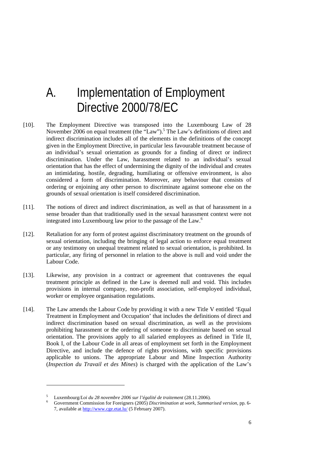## A. Implementation of Employment Directive 2000/78/EC

- [10]. The Employment Directive was transposed into the Luxembourg Law of 28 November 2006 on equal treatment (the "Law").<sup>5</sup> The Law's definitions of direct and indirect discrimination includes all of the elements in the definitions of the concept given in the Employment Directive, in particular less favourable treatment because of an individual's sexual orientation as grounds for a finding of direct or indirect discrimination. Under the Law, harassment related to an individual's sexual orientation that has the effect of undermining the dignity of the individual and creates an intimidating, hostile, degrading, humiliating or offensive environment, is also considered a form of discrimination. Moreover, any behaviour that consists of ordering or enjoining any other person to discriminate against someone else on the grounds of sexual orientation is itself considered discrimination.
- [11]. The notions of direct and indirect discrimination, as well as that of harassment in a sense broader than that traditionally used in the sexual harassment context were not integrated into Luxembourg law prior to the passage of the Law.<sup>6</sup>
- [12]. Retaliation for any form of protest against discriminatory treatment on the grounds of sexual orientation, including the bringing of legal action to enforce equal treatment or any testimony on unequal treatment related to sexual orientation, is prohibited. In particular, any firing of personnel in relation to the above is null and void under the Labour Code.
- [13]. Likewise, any provision in a contract or agreement that contravenes the equal treatment principle as defined in the Law is deemed null and void. This includes provisions in internal company, non-profit association, self-employed individual, worker or employee organisation regulations.
- [14]. The Law amends the Labour Code by providing it with a new Title V entitled 'Equal Treatment in Employment and Occupation' that includes the definitions of direct and indirect discrimination based on sexual discrimination, as well as the provisions prohibiting harassment or the ordering of someone to discriminate based on sexual orientation. The provisions apply to all salaried employees as defined in Title II, Book I, of the Labour Code in all areas of employment set forth in the Employment Directive, and include the defence of rights provisions, with specific provisions applicable to unions. The appropriate Labour and Mine Inspection Authority (*Inspection du Travail et des Mines*) is charged with the application of the Law's

<sup>5</sup> Luxembourg/*Loi du 28 novembre 2006 sur l'égalité de traitement* (28.11.2006).

Government Commission for Foreigners (2005) *Discrimination at work*, *Summarised version*, pp. 6- 7, available at http://www.cge.etat.lu/ (5 February 2007).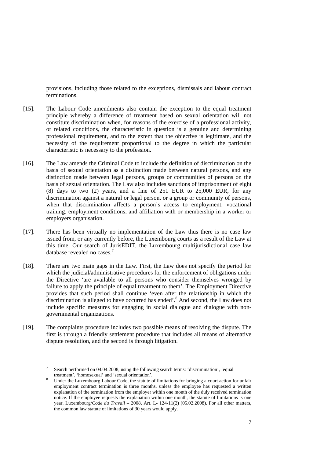provisions, including those related to the exceptions, dismissals and labour contract terminations.

- [15]. The Labour Code amendments also contain the exception to the equal treatment principle whereby a difference of treatment based on sexual orientation will not constitute discrimination when, for reasons of the exercise of a professional activity, or related conditions, the characteristic in question is a genuine and determining professional requirement, and to the extent that the objective is legitimate, and the necessity of the requirement proportional to the degree in which the particular characteristic is necessary to the profession.
- [16]. The Law amends the Criminal Code to include the definition of discrimination on the basis of sexual orientation as a distinction made between natural persons, and any distinction made between legal persons, groups or communities of persons on the basis of sexual orientation. The Law also includes sanctions of imprisonment of eight (8) days to two (2) years, and a fine of 251 EUR to 25,000 EUR, for any discrimination against a natural or legal person, or a group or community of persons, when that discrimination affects a person's access to employment, vocational training, employment conditions, and affiliation with or membership in a worker or employers organisation.
- [17]. There has been virtually no implementation of the Law thus there is no case law issued from, or any currently before, the Luxembourg courts as a result of the Law at this time. Our search of JurisEDIT, the Luxembourg multijurisdictional case law database revealed no cases.<sup>7</sup>
- [18]. There are two main gaps in the Law. First, the Law does not specify the period for which the judicial/administrative procedures for the enforcement of obligations under the Directive 'are available to all persons who consider themselves wronged by failure to apply the principle of equal treatment to them'. The Employment Directive provides that such period shall continue 'even after the relationship in which the discrimination is alleged to have occurred has ended'.<sup>8</sup> And second, the Law does not include specific measures for engaging in social dialogue and dialogue with nongovernmental organizations.
- [19]. The complaints procedure includes two possible means of resolving the dispute. The first is through a friendly settlement procedure that includes all means of alternative dispute resolution, and the second is through litigation.

<sup>7</sup> Search performed on 04.04.2008, using the following search terms: 'discrimination', 'equal treatment', 'homosexual' and 'sexual orientation'.

Under the Luxembourg Labour Code, the statute of limitations for bringing a court action for unfair employment contract termination is three months, unless the employee has requested a written explanation of the termination from the employer within one month of the duly received termination notice. If the employee requests the explanation within one month, the statute of limitations is one year. Luxembourg/*Code du Travail* – 2008, Art. L- 124-11(2) (05.02.2008). For all other matters, the common law statute of limitations of 30 years would apply.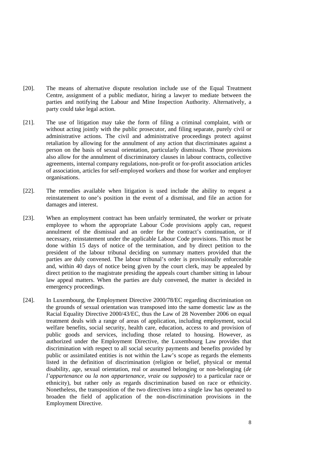- [20]. The means of alternative dispute resolution include use of the Equal Treatment Centre, assignment of a public mediator, hiring a lawyer to mediate between the parties and notifying the Labour and Mine Inspection Authority. Alternatively, a party could take legal action.
- [21]. The use of litigation may take the form of filing a criminal complaint, with or without acting jointly with the public prosecutor, and filing separate, purely civil or administrative actions. The civil and administrative proceedings protect against retaliation by allowing for the annulment of any action that discriminates against a person on the basis of sexual orientation, particularly dismissals. Those provisions also allow for the annulment of discriminatory clauses in labour contracts, collective agreements, internal company regulations, non-profit or for-profit association articles of association, articles for self-employed workers and those for worker and employer organisations.
- [22]. The remedies available when litigation is used include the ability to request a reinstatement to one's position in the event of a dismissal, and file an action for damages and interest.
- [23]. When an employment contract has been unfairly terminated, the worker or private employee to whom the appropriate Labour Code provisions apply can, request annulment of the dismissal and an order for the contract's continuation, or if necessary, reinstatement under the applicable Labour Code provisions. This must be done within 15 days of notice of the termination, and by direct petition to the president of the labour tribunal deciding on summary matters provided that the parties are duly convened. The labour tribunal's order is provisionally enforceable and, within 40 days of notice being given by the court clerk, may be appealed by direct petition to the magistrate presiding the appeals court chamber sitting in labour law appeal matters. When the parties are duly convened, the matter is decided in emergency proceedings.
- [24]. In Luxembourg, the Employment Directive 2000/78/EC regarding discrimination on the grounds of sexual orientation was transposed into the same domestic law as the Racial Equality Directive 2000/43/EC, thus the Law of 28 November 2006 on equal treatment deals with a range of areas of application, including employment, social welfare benefits, social security, health care, education, access to and provision of public goods and services, including those related to housing. However, as authorized under the Employment Directive, the Luxembourg Law provides that discrimination with respect to all social security payments and benefits provided by public or assimilated entities is not within the Law's scope as regards the elements listed in the definition of discrimination (religion or belief, physical or mental disability, age, sexual orientation, real or assumed belonging or non-belonging (*de l'appartenance ou la non appartenance, vraie ou supposée*) to a particular race or ethnicity), but rather only as regards discrimination based on race or ethnicity. Nonetheless, the transposition of the two directives into a single law has operated to broaden the field of application of the non-discrimination provisions in the Employment Directive.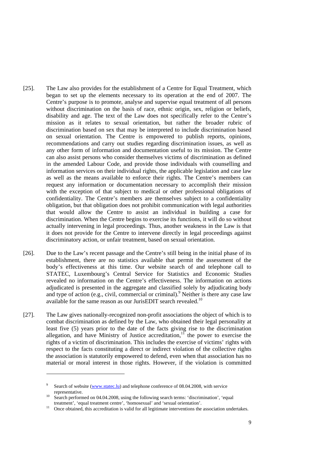- [25]. The Law also provides for the establishment of a Centre for Equal Treatment, which began to set up the elements necessary to its operation at the end of 2007. The Centre's purpose is to promote, analyse and supervise equal treatment of all persons without discrimination on the basis of race, ethnic origin, sex, religion or beliefs, disability and age. The text of the Law does not specifically refer to the Centre's mission as it relates to sexual orientation, but rather the broader rubric of discrimination based on sex that may be interpreted to include discrimination based on sexual orientation. The Centre is empowered to publish reports, opinions, recommendations and carry out studies regarding discrimination issues, as well as any other form of information and documentation useful to its mission. The Centre can also assist persons who consider themselves victims of discrimination as defined in the amended Labour Code, and provide those individuals with counselling and information services on their individual rights, the applicable legislation and case law as well as the means available to enforce their rights. The Centre's members can request any information or documentation necessary to accomplish their mission with the exception of that subject to medical or other professional obligations of confidentiality. The Centre's members are themselves subject to a confidentiality obligation, but that obligation does not prohibit communication with legal authorities that would allow the Centre to assist an individual in building a case for discrimination. When the Centre begins to exercise its functions, it will do so without actually intervening in legal proceedings. Thus, another weakness in the Law is that it does not provide for the Centre to intervene directly in legal proceedings against discriminatory action, or unfair treatment, based on sexual orientation.
- [26]. Due to the Law's recent passage and the Centre's still being in the initial phase of its establishment, there are no statistics available that permit the assessment of the body's effectiveness at this time. Our website search of and telephone call to STATEC, Luxembourg's Central Service for Statistics and Economic Studies revealed no information on the Centre's effectiveness. The information on actions adjudicated is presented in the aggregate and classified solely by adjudicating body and type of action (e.g., civil, commercial or criminal).<sup>9</sup> Neither is there any case law available for the same reason as our JurisEDIT search revealed.<sup>10</sup>
- [27]. The Law gives nationally-recognized non-profit associations the object of which is to combat discrimination as defined by the Law, who obtained their legal personality at least five (5) years prior to the date of the facts giving rise to the discrimination allegation, and have Ministry of Justice accreditation,<sup>11</sup> the power to exercise the rights of a victim of discrimination. This includes the exercise of victims' rights with respect to the facts constituting a direct or indirect violation of the collective rights the association is statutorily empowered to defend, even when that association has no material or moral interest in those rights. However, if the violation is committed

-

<sup>9</sup> Search of website (www.statec.lu) and telephone conference of 08.04.2008, with service

representative.<br><sup>10</sup> Search performed on 04.04.2008, using the following search terms: 'discrimination', 'equal treatment', 'equal treatment centre', 'homosexual' and 'sexual orientation'.<br><sup>11</sup> Once obtained, this accreditation is valid for all legitimate interventions the association undertakes.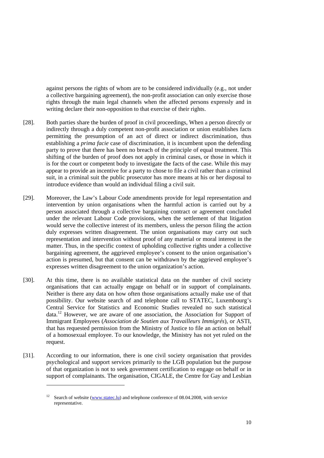against persons the rights of whom are to be considered individually (e.g., not under a collective bargaining agreement), the non-profit association can only exercise those rights through the main legal channels when the affected persons expressly and in writing declare their non-opposition to that exercise of their rights.

- [28]. Both parties share the burden of proof in civil proceedings, When a person directly or indirectly through a duly competent non-profit association or union establishes facts permitting the presumption of an act of direct or indirect discrimination, thus establishing a *prima facie* case of discrimination, it is incumbent upon the defending party to prove that there has been no breach of the principle of equal treatment. This shifting of the burden of proof does not apply in criminal cases, or those in which it is for the court or competent body to investigate the facts of the case. While this may appear to provide an incentive for a party to chose to file a civil rather than a criminal suit, in a criminal suit the public prosecutor has more means at his or her disposal to introduce evidence than would an individual filing a civil suit.
- [29]. Moreover, the Law's Labour Code amendments provide for legal representation and intervention by union organisations when the harmful action is carried out by a person associated through a collective bargaining contract or agreement concluded under the relevant Labour Code provisions, when the settlement of that litigation would serve the collective interest of its members, unless the person filing the action duly expresses written disagreement. The union organisations may carry out such representation and intervention without proof of any material or moral interest in the matter. Thus, in the specific context of upholding collective rights under a collective bargaining agreement, the aggrieved employee's consent to the union organisation's action is presumed, but that consent can be withdrawn by the aggrieved employee's expresses written disagreement to the union organization's action.
- [30]. At this time, there is no available statistical data on the number of civil society organisations that can actually engage on behalf or in support of complainants. Neither is there any data on how often those organisations actually make use of that possibility. Our website search of and telephone call to STATEC, Luxembourg's Central Service for Statistics and Economic Studies revealed no such statistical  $data<sup>12</sup>$  However, we are aware of one association, the Association for Support of Immigrant Employees (*Association de Soutien aux Travailleurs Immigrés*), or ASTI, that has requested permission from the Ministry of Justice to file an action on behalf of a homosexual employee. To our knowledge, the Ministry has not yet ruled on the request.
- [31]. According to our information, there is one civil society organisation that provides psychological and support services primarily to the LGB population but the purpose of that organization is not to seek government certification to engage on behalf or in support of complainants. The organisation, CIGALE, the Centre for Gay and Lesbian

<sup>&</sup>lt;sup>12</sup> Search of website (www.statec.lu) and telephone conference of 08.04.2008, with service representative.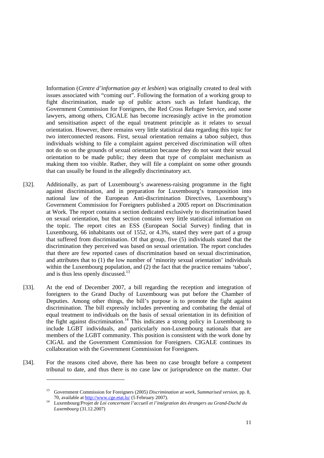Information (*Centre d'information gay et lesbien*) was originally created to deal with issues associated with "coming out". Following the formation of a working group to fight discrimination, made up of public actors such as Infant handicap, the Government Commission for Foreigners, the Red Cross Refugee Service, and some lawyers, among others, CIGALE has become increasingly active in the promotion and sensitisation aspect of the equal treatment principle as it relates to sexual orientation. However, there remains very little statistical data regarding this topic for two interconnected reasons. First, sexual orientation remains a taboo subject, thus individuals wishing to file a complaint against perceived discrimination will often not do so on the grounds of sexual orientation because they do not want their sexual orientation to be made public; they deem that type of complaint mechanism as making them too visible. Rather, they will file a complaint on some other grounds that can usually be found in the allegedly discriminatory act.

- [32]. Additionally, as part of Luxembourg's awareness-raising programme in the fight against discrimination, and in preparation for Luxembourg's transposition into national law of the European Anti-discrimination Directives, Luxembourg's Government Commission for Foreigners published a 2005 report on Discrimination at Work. The report contains a section dedicated exclusively to discrimination based on sexual orientation, but that section contains very little statistical information on the topic. The report cites an ESS (European Social Survey) finding that in Luxembourg, 66 inhabitants out of 1552, or 4.3%, stated they were part of a group that suffered from discrimination. Of that group, five (5) individuals stated that the discrimination they perceived was based on sexual orientation. The report concludes that there are few reported cases of discrimination based on sexual discrimination, and attributes that to (1) the low number of 'minority sexual orientation' individuals within the Luxembourg population, and (2) the fact that the practice remains 'taboo'. and is thus less openly discussed. $^{13}$
- [33]. At the end of December 2007, a bill regarding the reception and integration of foreigners to the Grand Duchy of Luxembourg was put before the Chamber of Deputies. Among other things, the bill's purpose is to promote the fight against discrimination. The bill expressly includes preventing and combating the denial of equal treatment to individuals on the basis of sexual orientation in its definition of the fight against discrimination.<sup>14</sup> This indicates a strong policy in Luxembourg to include LGBT individuals, and particularly non-Luxembourg nationals that are members of the LGBT community. This position is consistent with the work done by CIGAL and the Government Commission for Foreigners. CIGALE continues its collaboration with the Government Commission for Foreigners.
- [34]. For the reasons cited above, there has been no case brought before a competent tribunal to date, and thus there is no case law or jurisprudence on the matter. Our

Government Commission for Foreigners (2005) *Discrimination at work*, *Summarised version*, pp. 8, 70, available at http://www.cge.etat.lu/ (5 February 2007).

Luxembourg/Projet de Loi concernant l'accueil et l'intégration des étrangers au Grand-Duché du *Luxembourg* (31.12.2007)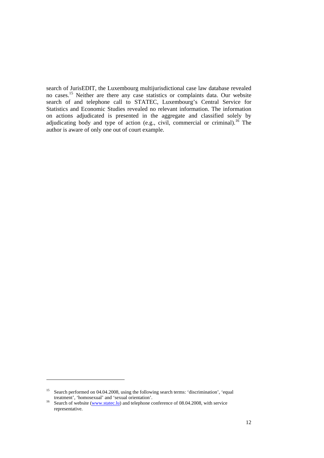search of JurisEDIT, the Luxembourg multijurisdictional case law database revealed no cases.<sup>15</sup> Neither are there any case statistics or complaints data. Our website search of and telephone call to STATEC, Luxembourg's Central Service for Statistics and Economic Studies revealed no relevant information. The information on actions adjudicated is presented in the aggregate and classified solely by adjudicating body and type of action (e.g., civil, commercial or criminal).<sup>16</sup> The author is aware of only one out of court example.

<sup>&</sup>lt;sup>15</sup> Search performed on 04.04.2008, using the following search terms: 'discrimination', 'equal treatment', 'homosexual' and 'sexual orientation'.

<sup>&</sup>lt;sup>16</sup> Search of website (www.statec.lu) and telephone conference of 08.04.2008, with service representative.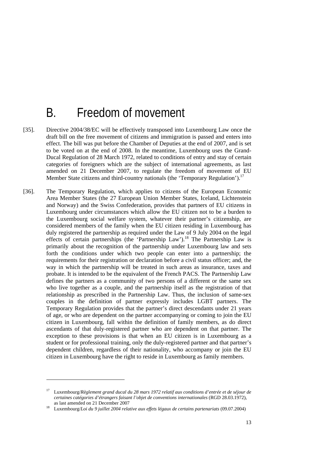### B. Freedom of movement

- [35]. Directive 2004/38/EC will be effectively transposed into Luxembourg Law once the draft bill on the free movement of citizens and immigration is passed and enters into effect. The bill was put before the Chamber of Deputies at the end of 2007, and is set to be voted on at the end of 2008. In the meantime, Luxembourg uses the Grand-Ducal Regulation of 28 March 1972, related to conditions of entry and stay of certain categories of foreigners which are the subject of international agreements, as last amended on 21 December 2007, to regulate the freedom of movement of EU Member State citizens and third-country nationals (the 'Temporary Regulation').<sup>17</sup>
- [36]. The Temporary Regulation, which applies to citizens of the European Economic Area Member States (the 27 European Union Member States, Iceland, Lichtenstein and Norway) and the Swiss Confederation, provides that partners of EU citizens in Luxembourg under circumstances which allow the EU citizen not to be a burden to the Luxembourg social welfare system, whatever their partner's citizenship, are considered members of the family when the EU citizen residing in Luxembourg has duly registered the partnership as required under the Law of 9 July 2004 on the legal effects of certain partnerships (the 'Partnership Law').<sup>18</sup> The Partnership Law is primarily about the recognition of the partnership under Luxembourg law and sets forth the conditions under which two people can enter into a partnership; the requirements for their registration or declaration before a civil status officer; and, the way in which the partnership will be treated in such areas as insurance, taxes and probate. It is intended to be the equivalent of the French PACS. The Partnership Law defines the partners as a community of two persons of a different or the same sex who live together as a couple, and the partnership itself as the registration of that relationship as prescribed in the Partnership Law. Thus, the inclusion of same-sex couples in the definition of partner expressly includes LGBT partners. The Temporary Regulation provides that the partner's direct descendants under 21 years of age, or who are dependent on the partner accompanying or coming to join the EU citizen in Luxembourg, fall within the definition of family members, as do direct ascendants of that duly-registered partner who are dependent on that partner. The exception to these provisions is that when an EU citizen is in Luxembourg as a student or for professional training, only the duly-registered partner and that partner's dependent children, regardless of their nationality, who accompany or join the EU citizen in Luxembourg have the right to reside in Luxembourg as family members.

<sup>17</sup> Luxembourg/*Règlement grand ducal du 28 mars 1972 relatif aux conditions d'entrée et de séjour de certaines catégories d'étrangers faisant l'objet de conventions internationales* (RGD 28.03.1972), as last amended on 21 December 2007 18 Luxembourg/*Loi du 9 juillet 2004 relative aux effets légaux de certains partenariats* (09.07.2004)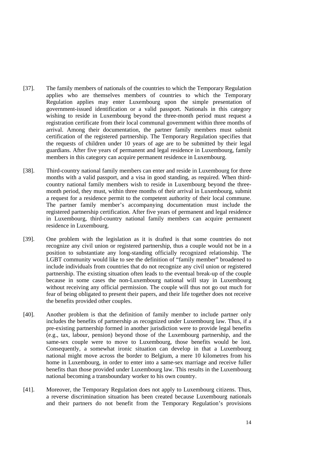- [37]. The family members of nationals of the countries to which the Temporary Regulation applies who are themselves members of countries to which the Temporary Regulation applies may enter Luxembourg upon the simple presentation of government-issued identification or a valid passport. Nationals in this category wishing to reside in Luxembourg beyond the three-month period must request a registration certificate from their local communal government within three months of arrival. Among their documentation, the partner family members must submit certification of the registered partnership. The Temporary Regulation specifies that the requests of children under 10 years of age are to be submitted by their legal guardians. After five years of permanent and legal residence in Luxembourg, family members in this category can acquire permanent residence in Luxembourg.
- [38]. Third-country national family members can enter and reside in Luxembourg for three months with a valid passport, and a visa in good standing, as required. When thirdcountry national family members wish to reside in Luxembourg beyond the threemonth period, they must, within three months of their arrival in Luxembourg, submit a request for a residence permit to the competent authority of their local commune. The partner family member's accompanying documentation must include the registered partnership certification. After five years of permanent and legal residence in Luxembourg, third-country national family members can acquire permanent residence in Luxembourg.
- [39]. One problem with the legislation as it is drafted is that some countries do not recognize any civil union or registered partnership, thus a couple would not be in a position to substantiate any long-standing officially recognized relationship. The LGBT community would like to see the definition of "family member" broadened to include individuals from countries that do not recognize any civil union or registered partnership. The existing situation often leads to the eventual break-up of the couple because in some cases the non-Luxembourg national will stay in Luxembourg without receiving any official permission. The couple will thus not go out much for fear of being obligated to present their papers, and their life together does not receive the benefits provided other couples.
- [40]. Another problem is that the definition of family member to include partner only includes the benefits of partnership as recognized under Luxembourg law. Thus, if a pre-existing partnership formed in another jurisdiction were to provide legal benefits (e.g., tax, labour, pension) beyond those of the Luxembourg partnership, and the same-sex couple were to move to Luxembourg, those benefits would be lost. Consequently, a somewhat ironic situation can develop in that a Luxembourg national might move across the border to Belgium, a mere 10 kilometres from his home in Luxembourg, in order to enter into a same-sex marriage and receive fuller benefits than those provided under Luxembourg law. This results in the Luxembourg national becoming a transboundary worker to his own country.
- [41]. Moreover, the Temporary Regulation does not apply to Luxembourg citizens. Thus, a reverse discrimination situation has been created because Luxembourg nationals and their partners do not benefit from the Temporary Regulation's provisions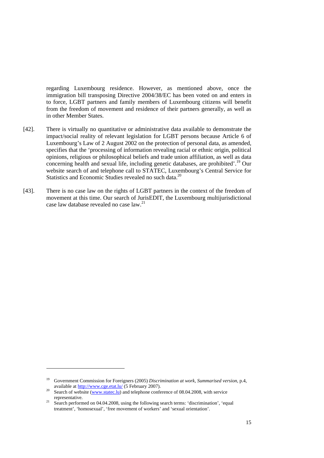regarding Luxembourg residence. However, as mentioned above, once the immigration bill transposing Directive 2004/38/EC has been voted on and enters in to force, LGBT partners and family members of Luxembourg citizens will benefit from the freedom of movement and residence of their partners generally, as well as in other Member States.

- [42]. There is virtually no quantitative or administrative data available to demonstrate the impact/social reality of relevant legislation for LGBT persons because Article 6 of Luxembourg's Law of 2 August 2002 on the protection of personal data, as amended, specifies that the 'processing of information revealing racial or ethnic origin, political opinions, religious or philosophical beliefs and trade union affiliation, as well as data concerning health and sexual life, including genetic databases, are prohibited'.<sup>19</sup> Our website search of and telephone call to STATEC, Luxembourg's Central Service for Statistics and Economic Studies revealed no such data.<sup>20</sup>
- [43]. There is no case law on the rights of LGBT partners in the context of the freedom of movement at this time. Our search of JurisEDIT, the Luxembourg multijurisdictional case law database revealed no case law.<sup>21</sup>

<sup>19</sup> Government Commission for Foreigners (2005) *Discrimination at work*, *Summarised version*, p.4,

available at  $\underline{http://www.cge.eta.l.u/}(5$  February 2007).<br><sup>20</sup> Search of website (www.statec.lu) and telephone conference of 08.04.2008, with service representative.

<sup>&</sup>lt;sup>21</sup> Search performed on 04.04.2008, using the following search terms: 'discrimination', 'equal treatment', 'homosexual', 'free movement of workers' and 'sexual orientation'.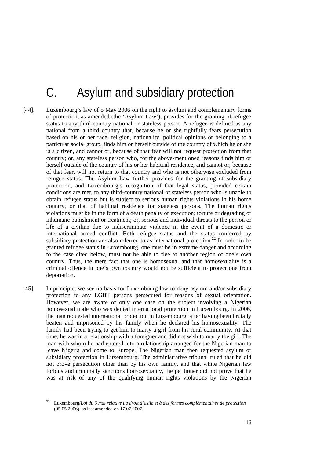## C. Asylum and subsidiary protection

- [44]. Luxembourg's law of 5 May 2006 on the right to asylum and complementary forms of protection, as amended (the 'Asylum Law'), provides for the granting of refugee status to any third-country national or stateless person. A refugee is defined as any national from a third country that, because he or she rightfully fears persecution based on his or her race, religion, nationality, political opinions or belonging to a particular social group, finds him or herself outside of the country of which he or she is a citizen, and cannot or, because of that fear will not request protection from that country; or, any stateless person who, for the above-mentioned reasons finds him or herself outside of the country of his or her habitual residence, and cannot or, because of that fear, will not return to that country and who is not otherwise excluded from refugee status. The Asylum Law further provides for the granting of subsidiary protection, and Luxembourg's recognition of that legal status, provided certain conditions are met, to any third-country national or stateless person who is unable to obtain refugee status but is subject to serious human rights violations in his home country, or that of habitual residence for stateless persons. The human rights violations must be in the form of a death penalty or execution; torture or degrading or inhumane punishment or treatment; or, serious and individual threats to the person or life of a civilian due to indiscriminate violence in the event of a domestic or international armed conflict. Both refugee status and the status conferred by subsidiary protection are also referred to as international protection.<sup>22</sup> In order to be granted refugee status in Luxembourg, one must be in extreme danger and according to the case cited below, must not be able to flee to another region of one's own country. Thus, the mere fact that one is homosexual and that homosexuality is a criminal offence in one's own country would not be sufficient to protect one from deportation.
- [45]. In principle, we see no basis for Luxembourg law to deny asylum and/or subsidiary protection to any LGBT persons persecuted for reasons of sexual orientation. However, we are aware of only one case on the subject involving a Nigerian homosexual male who was denied international protection in Luxembourg. In 2006, the man requested international protection in Luxembourg, after having been brutally beaten and imprisoned by his family when he declared his homosexuality. The family had been trying to get him to marry a girl from his rural community. At that time, he was in a relationship with a foreigner and did not wish to marry the girl. The man with whom he had entered into a relationship arranged for the Nigerian man to leave Nigeria and come to Europe. The Nigerian man then requested asylum or subsidiary protection in Luxembourg. The administrative tribunal ruled that he did not prove persecution other than by his own family, and that while Nigerian law forbids and criminally sanctions homosexuality, the petitioner did not prove that he was at risk of any of the qualifying human rights violations by the Nigerian

<sup>22</sup> Luxembourg/*Loi du 5 mai relative ua droit d'asile et à des formes complémentaires de protection* (05.05.2006), as last amended on 17.07.2007.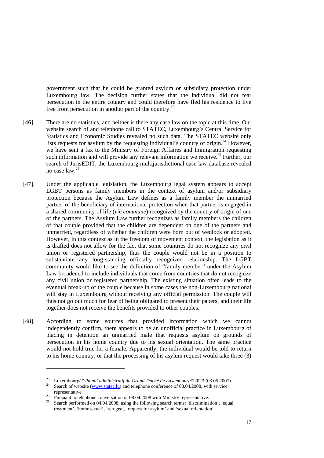government such that he could be granted asylum or subsidiary protection under Luxembourg law. The decision further states that the individual did not fear persecution in the entire country and could therefore have fled his residence to live free from persecution in another part of the country.<sup>23</sup>

- [46]. There are no statistics, and neither is there any case law on the topic at this time. Our website search of and telephone call to STATEC, Luxembourg's Central Service for Statistics and Economic Studies revealed no such data. The STATEC website only lists requests for asylum by the requesting individual's country of origin.<sup>24</sup> However, we have sent a fax to the Ministry of Foreign Affaires and Immigration requesting such information and will provide any relevant information we receive.<sup>25</sup> Further, our search of JurisEDIT, the Luxembourg multijurisdictional case law database revealed no case law.<sup>26</sup>
- [47]. Under the applicable legislation, the Luxembourg legal system appears to accept LGBT persons as family members in the context of asylum and/or subsidiary protection because the Asylum Law defines as a family member the unmarried partner of the beneficiary of international protection when that partner is engaged in a shared community of life (*vie commune*) recognized by the country of origin of one of the partners. The Asylum Law further recognizes as family members the children of that couple provided that the children are dependent on one of the partners and unmarried, regardless of whether the children were born out of wedlock or adopted. However, in this context as in the freedom of movement context, the legislation as it is drafted does not allow for the fact that some countries do not recognize any civil union or registered partnership, thus the couple would not be in a position to substantiate any long-standing officially recognized relationship. The LGBT community would like to see the definition of "family member" under the Asylum Law broadened to include individuals that come from countries that do not recognize any civil union or registered partnership. The existing situation often leads to the eventual break-up of the couple because in some cases the non-Luxembourg national will stay in Luxembourg without receiving any official permission. The couple will thus not go out much for fear of being obligated to present their papers, and their life together does not receive the benefits provided to other couples.
- [48]. According to some sources that provided information which we cannot independently confirm, there appears to be an unofficial practice in Luxembourg of placing in detention an unmarried male that requests asylum on grounds of persecution in his home country due to his sexual orientation. The same practice would not hold true for a female. Apparently, the individual would be told to return to his home country, or that the processing of his asylum request would take three (3)

<sup>&</sup>lt;sup>23</sup> Luxembourg/*Tribunal administratif du Grand-Duché de Luxembourg*/22023 (03.05.2007).<br><sup>24</sup> Search of website (www.statec.lu) and telephone conference of 08.04.2008, with service

representative.<br><sup>25</sup> Pursuant to telephone conversation of 08.04.2008 with Ministry representative.<br><sup>26</sup> Search performed on 04.04.2008, using the following search terms: 'discrimination', 'equal treatment', 'homosexual', 'refugee', 'request for asylum' and 'sexual orientation'.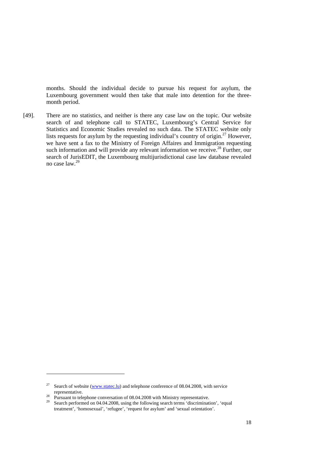months. Should the individual decide to pursue his request for asylum, the Luxembourg government would then take that male into detention for the threemonth period.

[49]. There are no statistics, and neither is there any case law on the topic. Our website search of and telephone call to STATEC, Luxembourg's Central Service for Statistics and Economic Studies revealed no such data. The STATEC website only lists requests for asylum by the requesting individual's country of origin.27 However, we have sent a fax to the Ministry of Foreign Affaires and Immigration requesting such information and will provide any relevant information we receive.<sup>28</sup> Further, our search of JurisEDIT, the Luxembourg multijurisdictional case law database revealed no case law.<sup>29</sup>

-

<sup>&</sup>lt;sup>27</sup> Search of website (www.statec.lu) and telephone conference of 08.04.2008, with service

representative.<br><sup>28</sup> Pursuant to telephone conversation of 08.04.2008 with Ministry representative.<br><sup>29</sup> Search performed on 04.04.2008, using the following search terms 'discrimination', 'equal treatment', 'homosexual', 'refugee', 'request for asylum' and 'sexual orientation'.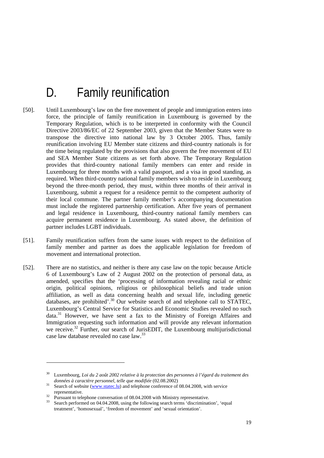# D. Family reunification

- [50]. Until Luxembourg's law on the free movement of people and immigration enters into force, the principle of family reunification in Luxembourg is governed by the Temporary Regulation, which is to be interpreted in conformity with the Council Directive 2003/86/EC of 22 September 2003, given that the Member States were to transpose the directive into national law by 3 October 2005. Thus, family reunification involving EU Member state citizens and third-country nationals is for the time being regulated by the provisions that also govern the free movement of EU and SEA Member State citizens as set forth above. The Temporary Regulation provides that third-country national family members can enter and reside in Luxembourg for three months with a valid passport, and a visa in good standing, as required. When third-country national family members wish to reside in Luxembourg beyond the three-month period, they must, within three months of their arrival in Luxembourg, submit a request for a residence permit to the competent authority of their local commune. The partner family member's accompanying documentation must include the registered partnership certification. After five years of permanent and legal residence in Luxembourg, third-country national family members can acquire permanent residence in Luxembourg. As stated above, the definition of partner includes LGBT individuals.
- [51]. Family reunification suffers from the same issues with respect to the definition of family member and partner as does the applicable legislation for freedom of movement and international protection.
- [52]. There are no statistics, and neither is there any case law on the topic because Article 6 of Luxembourg's Law of 2 August 2002 on the protection of personal data, as amended, specifies that the 'processing of information revealing racial or ethnic origin, political opinions, religious or philosophical beliefs and trade union affiliation, as well as data concerning health and sexual life, including genetic databases, are prohibited'. $30$  Our website search of and telephone call to STATEC, Luxembourg's Central Service for Statistics and Economic Studies revealed no such data.<sup>31</sup> However, we have sent a fax to the Ministry of Foreign Affaires and Immigration requesting such information and will provide any relevant information we receive.<sup>32</sup> Further, our search of JurisEDIT, the Luxembourg multijurisdictional case law database revealed no case law.<sup>33</sup>

<sup>30</sup> Luxembourg, *Loi du 2 août 2002 relative à la protection des personnes à l'égard du traitement des* 

<sup>&</sup>lt;sup>31</sup> Search of website (www.statec.lu) and telephone conference of 08.04.2008, with service

representative.<br><sup>32</sup> Pursuant to telephone conversation of 08.04.2008 with Ministry representative.<br><sup>33</sup> Search performed on 04.04.2008, using the following search terms 'discrimination', 'equal treatment', 'homosexual', 'freedom of movement' and 'sexual orientation'.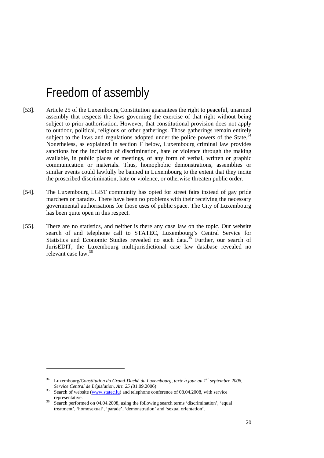### Freedom of assembly

- [53]. Article 25 of the Luxembourg Constitution guarantees the right to peaceful, unarmed assembly that respects the laws governing the exercise of that right without being subject to prior authorisation. However, that constitutional provision does not apply to outdoor, political, religious or other gatherings. Those gatherings remain entirely subject to the laws and regulations adopted under the police powers of the State.<sup>34</sup> Nonetheless, as explained in section F below, Luxembourg criminal law provides sanctions for the incitation of discrimination, hate or violence through the making available, in public places or meetings, of any form of verbal, written or graphic communication or materials. Thus, homophobic demonstrations, assemblies or similar events could lawfully be banned in Luxembourg to the extent that they incite the proscribed discrimination, hate or violence, or otherwise threaten public order.
- [54]. The Luxembourg LGBT community has opted for street fairs instead of gay pride marchers or parades. There have been no problems with their receiving the necessary governmental authorisations for those uses of public space. The City of Luxembourg has been quite open in this respect.
- [55]. There are no statistics, and neither is there any case law on the topic. Our website search of and telephone call to STATEC, Luxembourg's Central Service for Statistics and Economic Studies revealed no such data.<sup>35</sup> Further, our search of JurisEDIT, the Luxembourg multijurisdictional case law database revealed no relevant case law.<sup>36</sup>

<sup>34</sup> Luxembourg/*Constitution du Grand-Duché du Luxembourg, texte à jour au 1er septembre 2006, Service Central de Législation, Art. 25 (01.09.2006)*<br>35 Search of website (www.statec.lu) and telephone conference of 08.04.2008, with service

representative.<br>Search performed on 04.04.2008, using the following search terms 'discrimination', 'equal

treatment', 'homosexual', 'parade', 'demonstration' and 'sexual orientation'.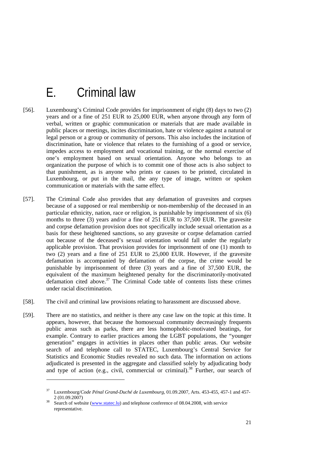## E. Criminal law

- [56]. Luxembourg's Criminal Code provides for imprisonment of eight (8) days to two (2) years and or a fine of 251 EUR to 25,000 EUR, when anyone through any form of verbal, written or graphic communication or materials that are made available in public places or meetings, incites discrimination, hate or violence against a natural or legal person or a group or community of persons. This also includes the incitation of discrimination, hate or violence that relates to the furnishing of a good or service, impedes access to employment and vocational training, or the normal exercise of one's employment based on sexual orientation. Anyone who belongs to an organization the purpose of which is to commit one of those acts is also subject to that punishment, as is anyone who prints or causes to be printed, circulated in Luxembourg, or put in the mail, the any type of image, written or spoken communication or materials with the same effect.
- [57]. The Criminal Code also provides that any defamation of gravesites and corpses because of a supposed or real membership or non-membership of the deceased in an particular ethnicity, nation, race or religion, is punishable by imprisonment of six (6) months to three (3) years and/or a fine of 251 EUR to 37,500 EUR. The gravesite and corpse defamation provision does not specifically include sexual orientation as a basis for these heightened sanctions, so any gravesite or corpse defamation carried out because of the deceased's sexual orientation would fall under the regularly applicable provision. That provision provides for imprisonment of one (1) month to two (2) years and a fine of 251 EUR to 25,000 EUR. However, if the gravesite defamation is accompanied by defamation of the corpse, the crime would be punishable by imprisonment of three (3) years and a fine of 37,500 EUR, the equivalent of the maximum heightened penalty for the discriminatorily-motivated defamation cited above.<sup>37</sup> The Criminal Code table of contents lists these crimes under racial discrimination.
- [58]. The civil and criminal law provisions relating to harassment are discussed above.
- [59]. There are no statistics, and neither is there any case law on the topic at this time. It appears, however, that because the homosexual community decreasingly frequents public areas such as parks, there are less homophobic-motivated beatings, for example. Contrary to earlier practices among the LGBT populations, the "younger generation" engages in activities in places other than public areas. Our website search of and telephone call to STATEC, Luxembourg's Central Service for Statistics and Economic Studies revealed no such data. The information on actions adjudicated is presented in the aggregate and classified solely by adjudicating body and type of action (e.g., civil, commercial or criminal).<sup>38</sup> Further, our search of

<sup>37</sup> Luxembourg/*Code Pénal Grand-Duché de Luxembourg*, 01.09.2007, Arts. 453-455, 457-1 and 457- 2 (01.09.2007)<br>Search of website (www.statec.lu) and telephone conference of 08.04.2008, with service

representative.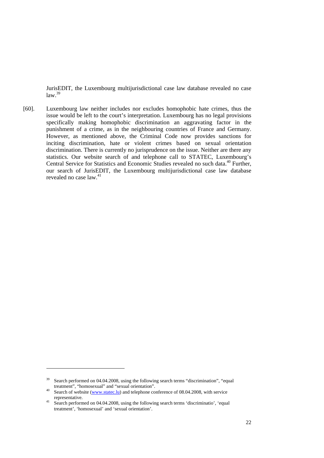JurisEDIT, the Luxembourg multijurisdictional case law database revealed no case  $law<sup>39</sup>$ 

[60]. Luxembourg law neither includes nor excludes homophobic hate crimes, thus the issue would be left to the court's interpretation. Luxembourg has no legal provisions specifically making homophobic discrimination an aggravating factor in the punishment of a crime, as in the neighbouring countries of France and Germany. However, as mentioned above, the Criminal Code now provides sanctions for inciting discrimination, hate or violent crimes based on sexual orientation discrimination. There is currently no jurisprudence on the issue. Neither are there any statistics. Our website search of and telephone call to STATEC, Luxembourg's Central Service for Statistics and Economic Studies revealed no such data.<sup>40</sup> Further, our search of JurisEDIT, the Luxembourg multijurisdictional case law database revealed no case law.41

 $39$  Search performed on 04.04.2008, using the following search terms "discrimination", "equal

treatment", "homosexual" and "sexual orientation".<br>40 Search of website (www.statec.lu) and telephone conference of 08.04.2008, with service representative.

representative. 41 Search performed on 04.04.2008, using the following search terms 'discriminatio', 'equal treatment', 'homosexual' and 'sexual orientation'.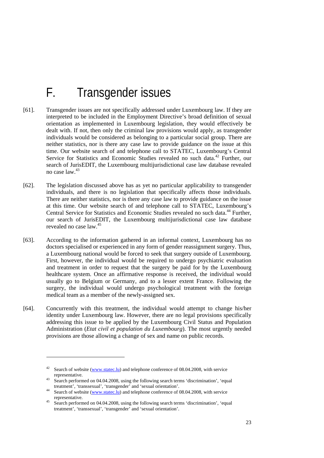## F. Transgender issues

- [61]. Transgender issues are not specifically addressed under Luxembourg law. If they are interpreted to be included in the Employment Directive's broad definition of sexual orientation as implemented in Luxembourg legislation, they would effectively be dealt with. If not, then only the criminal law provisions would apply, as transgender individuals would be considered as belonging to a particular social group. There are neither statistics, nor is there any case law to provide guidance on the issue at this time. Our website search of and telephone call to STATEC, Luxembourg's Central Service for Statistics and Economic Studies revealed no such data.<sup>42</sup> Further, our search of JurisEDIT, the Luxembourg multijurisdictional case law database revealed no case law.<sup>43</sup>
- [62]. The legislation discussed above has as yet no particular applicability to transgender individuals, and there is no legislation that specifically affects those individuals. There are neither statistics, nor is there any case law to provide guidance on the issue at this time. Our website search of and telephone call to STATEC, Luxembourg's Central Service for Statistics and Economic Studies revealed no such data.<sup>44</sup> Further, our search of JurisEDIT, the Luxembourg multijurisdictional case law database revealed no case law.45
- [63]. According to the information gathered in an informal context, Luxembourg has no doctors specialised or experienced in any form of gender reassignment surgery. Thus, a Luxembourg national would be forced to seek that surgery outside of Luxembourg. First, however, the individual would be required to undergo psychiatric evaluation and treatment in order to request that the surgery be paid for by the Luxembourg healthcare system. Once an affirmative response is received, the individual would usually go to Belgium or Germany, and to a lesser extent France. Following the surgery, the individual would undergo psychological treatment with the foreign medical team as a member of the newly-assigned sex.
- [64]. Concurrently with this treatment, the individual would attempt to change his/her identity under Luxembourg law. However, there are no legal provisions specifically addressing this issue to be applied by the Luxembourg Civil Status and Population Administration (*Etat civil et population du Luxembourg*). The most urgently needed provisions are those allowing a change of sex and name on public records.

<sup>&</sup>lt;sup>42</sup> Search of website (www.statec.lu) and telephone conference of 08.04.2008, with service

representative.<br><sup>43</sup> Search performed on 04.04.2008, using the following search terms 'discrimination', 'equal treatment', 'transsexual', 'transgender' and 'sexual orientation'.<br>44 Search of website (www.statec.lu) and telephone conference of 08.04.2008, with service

representative.<br>Search performed on 04.04.2008, using the following search terms 'discrimination', 'equal

treatment', 'transsexual', 'transgender' and 'sexual orientation'.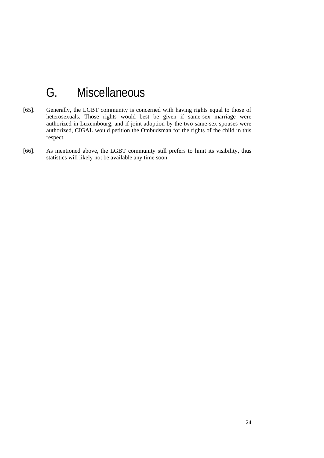# G. Miscellaneous

- [65]. Generally, the LGBT community is concerned with having rights equal to those of heterosexuals. Those rights would best be given if same-sex marriage were authorized in Luxembourg, and if joint adoption by the two same-sex spouses were authorized, CIGAL would petition the Ombudsman for the rights of the child in this respect.
- [66]. As mentioned above, the LGBT community still prefers to limit its visibility, thus statistics will likely not be available any time soon.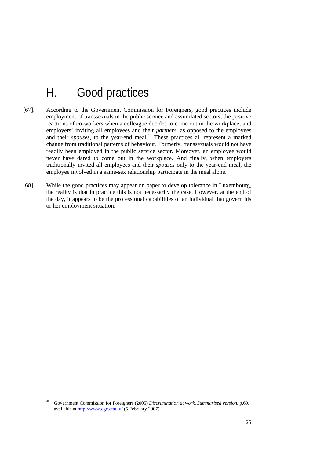# H. Good practices

- [67]. According to the Government Commission for Foreigners, good practices include employment of transsexuals in the public service and assimilated sectors; the positive reactions of co-workers when a colleague decides to come out in the workplace; and employers' inviting all employees and their *partners*, as opposed to the employees and their *spouses*, to the year-end meal.<sup>46</sup> These practices all represent a marked change from traditional patterns of behaviour. Formerly, transsexuals would not have readily been employed in the public service sector. Moreover, an employee would never have dared to come out in the workplace. And finally, when employers traditionally invited all employees and their *spouses* only to the year-end meal, the employee involved in a same-sex relationship participate in the meal alone.
- [68]. While the good practices may appear on paper to develop tolerance in Luxembourg, the reality is that in practice this is not necessarily the case. However, at the end of the day, it appears to be the professional capabilities of an individual that govern his or her employment situation.

-

<sup>46</sup> Government Commission for Foreigners (2005) *Discrimination at work*, *Summarised version*, p.69, available at http://www.cge.etat.lu/ (5 February 2007).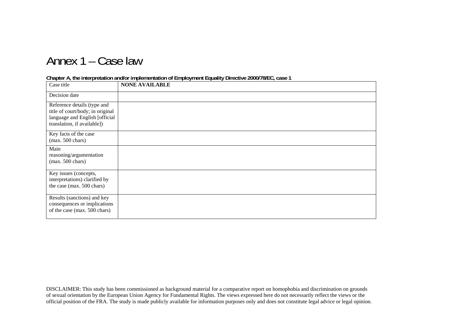## Annex 1 – Case law

#### **Chapter A, the interpretation and/or implementation of Employment Equality Directive 2000/78/EC, case 1**

| Case title                                                                                                                       | <b>NONE AVAILABLE</b> |
|----------------------------------------------------------------------------------------------------------------------------------|-----------------------|
| Decision date                                                                                                                    |                       |
| Reference details (type and<br>title of court/body; in original<br>language and English [official<br>translation, if available]) |                       |
| Key facts of the case<br>$(max. 500 \text{ chars})$                                                                              |                       |
| Main<br>reasoning/argumentation<br>$(max. 500 \text{ chars})$                                                                    |                       |
| Key issues (concepts,<br>interpretations) clarified by<br>the case (max. 500 chars)                                              |                       |
| Results (sanctions) and key<br>consequences or implications<br>of the case (max. 500 chars)                                      |                       |

DISCLAIMER: This study has been commissioned as background material for a comparative report on homophobia and discrimination on grounds of sexual orientation by the European Union Agency for Fundamental Rights. The views expressed here do not necessarily reflect the views or the official position of the FRA. The study is made publicly available for information purposes only and does not constitute legal advice or legal opinion.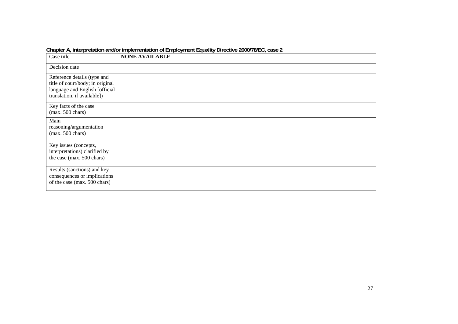| Case title                                                                                                                       | <b>NONE AVAILABLE</b> |
|----------------------------------------------------------------------------------------------------------------------------------|-----------------------|
| Decision date                                                                                                                    |                       |
| Reference details (type and<br>title of court/body; in original<br>language and English [official<br>translation, if available]) |                       |
| Key facts of the case<br>$(max. 500 \text{ chars})$                                                                              |                       |
| Main<br>reasoning/argumentation<br>$(max. 500 \text{ chars})$                                                                    |                       |
| Key issues (concepts,<br>interpretations) clarified by<br>the case (max. 500 chars)                                              |                       |
| Results (sanctions) and key<br>consequences or implications<br>of the case (max. 500 chars)                                      |                       |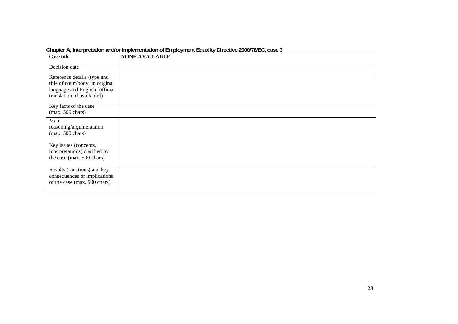| Case title                                                                                                                       | <b>NONE AVAILABLE</b> |
|----------------------------------------------------------------------------------------------------------------------------------|-----------------------|
| Decision date                                                                                                                    |                       |
| Reference details (type and<br>title of court/body; in original<br>language and English [official<br>translation, if available]) |                       |
| Key facts of the case<br>$(max. 500 \text{ chars})$                                                                              |                       |
| Main<br>reasoning/argumentation<br>$(max. 500 \text{ chars})$                                                                    |                       |
| Key issues (concepts,<br>interpretations) clarified by<br>the case (max. 500 chars)                                              |                       |
| Results (sanctions) and key<br>consequences or implications<br>of the case (max. 500 chars)                                      |                       |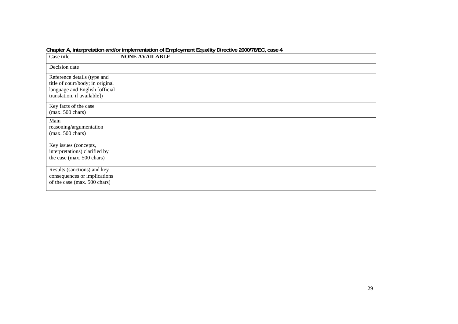| Case title                                                                                                                       | <b>NONE AVAILABLE</b> |
|----------------------------------------------------------------------------------------------------------------------------------|-----------------------|
| Decision date                                                                                                                    |                       |
| Reference details (type and<br>title of court/body; in original<br>language and English [official<br>translation, if available]) |                       |
| Key facts of the case<br>$(max. 500 \text{ chars})$                                                                              |                       |
| Main<br>reasoning/argumentation<br>$(max. 500 \text{ chars})$                                                                    |                       |
| Key issues (concepts,<br>interpretations) clarified by<br>the case (max. 500 chars)                                              |                       |
| Results (sanctions) and key<br>consequences or implications<br>of the case (max. 500 chars)                                      |                       |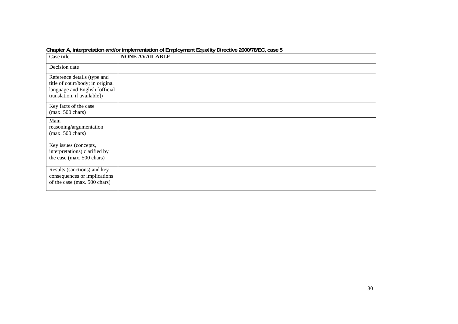| Case title                                                                                                                       | <b>NONE AVAILABLE</b> |
|----------------------------------------------------------------------------------------------------------------------------------|-----------------------|
| Decision date                                                                                                                    |                       |
| Reference details (type and<br>title of court/body; in original<br>language and English [official<br>translation, if available]) |                       |
| Key facts of the case<br>$(max. 500 \text{ chars})$                                                                              |                       |
| Main<br>reasoning/argumentation<br>$(max. 500 \text{ chars})$                                                                    |                       |
| Key issues (concepts,<br>interpretations) clarified by<br>the case (max. 500 chars)                                              |                       |
| Results (sanctions) and key<br>consequences or implications<br>of the case (max. 500 chars)                                      |                       |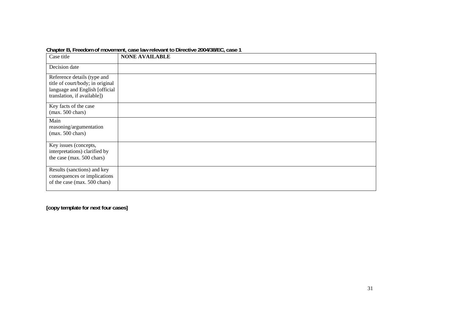| Case title                                                                                                                       | <b>NONE AVAILABLE</b> |
|----------------------------------------------------------------------------------------------------------------------------------|-----------------------|
| Decision date                                                                                                                    |                       |
| Reference details (type and<br>title of court/body; in original<br>language and English [official<br>translation, if available]) |                       |
| Key facts of the case<br>$(max. 500 \text{ chars})$                                                                              |                       |
| Main<br>reasoning/argumentation<br>$(max. 500 \text{ chars})$                                                                    |                       |
| Key issues (concepts,<br>interpretations) clarified by<br>the case (max. 500 chars)                                              |                       |
| Results (sanctions) and key<br>consequences or implications<br>of the case (max. 500 chars)                                      |                       |

**Chapter B, Freedom of movement, case law relevant to Directive 2004/38/EC, case 1**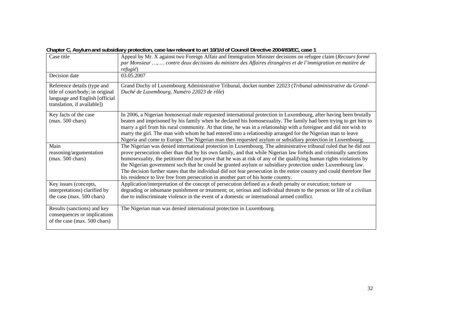| -- - <i>-</i> - - - <i>j</i>                                                                                                     |                                                                                                                                                                                                                                                                                                                                                                                                                                                                                                                                                                                                                                                                                             |
|----------------------------------------------------------------------------------------------------------------------------------|---------------------------------------------------------------------------------------------------------------------------------------------------------------------------------------------------------------------------------------------------------------------------------------------------------------------------------------------------------------------------------------------------------------------------------------------------------------------------------------------------------------------------------------------------------------------------------------------------------------------------------------------------------------------------------------------|
| Case title                                                                                                                       | Appeal by Mr. X against two Foreign Affair and Immigration Minister decisions on refugee claim (Recours formé<br>par Monsieur ,  contre deux decisions du ministre des Affaires étrangères et de l'immigration en matière de<br>refugié)                                                                                                                                                                                                                                                                                                                                                                                                                                                    |
| Decision date                                                                                                                    | 03.05.2007                                                                                                                                                                                                                                                                                                                                                                                                                                                                                                                                                                                                                                                                                  |
| Reference details (type and<br>title of court/body; in original<br>language and English [official<br>translation, if available]) | Grand Duchy of Luxembourg Administrative Tribunal, docket number 22023 (Tribunal administrative du Grand-<br>Duché de Luxembourg, Numéro 22023 de rôle)                                                                                                                                                                                                                                                                                                                                                                                                                                                                                                                                     |
| Key facts of the case<br>$(max. 500 \text{ chars})$                                                                              | In 2006, a Nigerian homosexual male requested international protection in Luxembourg, after having been brutally<br>beaten and imprisoned by his family when he declared his homosexuality. The family had been trying to get him to<br>marry a girl from his rural community. At that time, he was in a relationship with a foreigner and did not wish to<br>marry the girl. The man with whom he had entered into a relationship arranged for the Nigerian man to leave<br>Nigeria and come to Europe. The Nigerian man then requested asylum or subsidiary protection in Luxembourg.                                                                                                     |
| Main<br>reasoning/argumentation<br>$(max. 500 \text{ chars})$                                                                    | The Nigerian was denied international protection in Luxembourg. The administrative tribunal ruled that he did not<br>prove persecution other than that by his own family, and that while Nigerian law forbids and criminally sanctions<br>homosexuality, the petitioner did not prove that he was at risk of any of the qualifying human rights violations by<br>the Nigerian government such that he could be granted asylum or subsidiary protection under Luxembourg law.<br>The decision further states that the individual did not fear persecution in the entire country and could therefore flee<br>his residence to live free from persecution in another part of his home country. |
| Key issues (concepts,<br>interpretations) clarified by<br>the case (max. 500 chars)                                              | Application/interpretation of the concept of persecution defined as a death penalty or execution; torture or<br>degrading or inhumane punishment or treatment; or, serious and individual threats to the person or life of a civilian<br>due to indiscriminate violence in the event of a domestic or international armed conflict.                                                                                                                                                                                                                                                                                                                                                         |
| Results (sanctions) and key<br>consequences or implications<br>of the case (max. 500 chars)                                      | The Nigerian man was denied international protection in Luxembourg.                                                                                                                                                                                                                                                                                                                                                                                                                                                                                                                                                                                                                         |

**Chapter C, Asylum and subsidiary protection, case law relevant to art 10/1/d of Council Directive 2004/83/EC, case 1**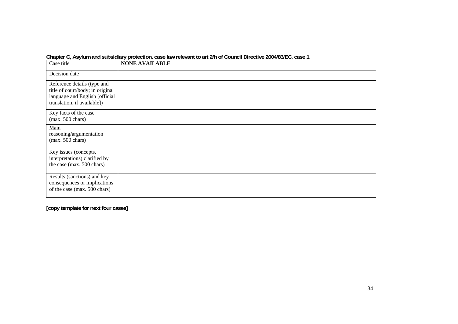| Case title                                                                                                                       | <b>NONE AVAILABLE</b> |
|----------------------------------------------------------------------------------------------------------------------------------|-----------------------|
| Decision date                                                                                                                    |                       |
| Reference details (type and<br>title of court/body; in original<br>language and English [official<br>translation, if available]) |                       |
| Key facts of the case<br>$(max. 500 \text{ chars})$                                                                              |                       |
| Main<br>reasoning/argumentation<br>$(max. 500 \text{ chars})$                                                                    |                       |
| Key issues (concepts,<br>interpretations) clarified by<br>the case (max. 500 chars)                                              |                       |
| Results (sanctions) and key<br>consequences or implications<br>of the case (max. 500 chars)                                      |                       |

**Chapter C, Asylum and subsidiary protection, case law relevant to art 2/h of Council Directive 2004/83/EC, case 1**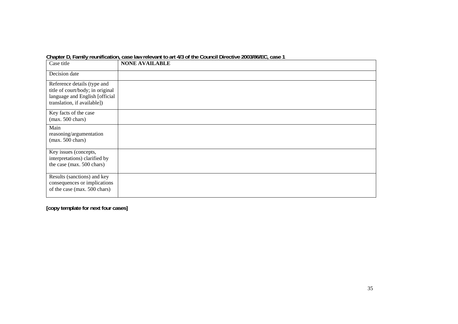| Case title                                                                                                                       | <b>NONE AVAILABLE</b> |
|----------------------------------------------------------------------------------------------------------------------------------|-----------------------|
| Decision date                                                                                                                    |                       |
| Reference details (type and<br>title of court/body; in original<br>language and English [official<br>translation, if available]) |                       |
| Key facts of the case<br>$(max. 500 \text{ chars})$                                                                              |                       |
| Main<br>reasoning/argumentation<br>$(max. 500 \text{ chars})$                                                                    |                       |
| Key issues (concepts,<br>interpretations) clarified by<br>the case (max. 500 chars)                                              |                       |
| Results (sanctions) and key<br>consequences or implications<br>of the case (max. 500 chars)                                      |                       |

**Chapter D, Family reunification, case law relevant to art 4/3 of the Council Directive 2003/86/EC, case 1**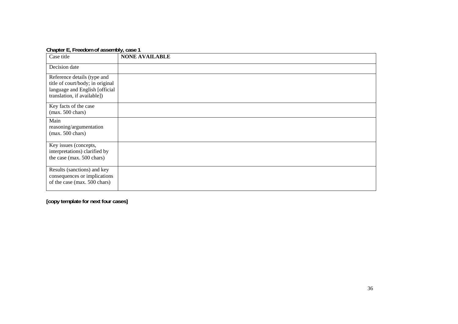| Case title                                                                                                                       | <b>NONE AVAILABLE</b> |
|----------------------------------------------------------------------------------------------------------------------------------|-----------------------|
| Decision date                                                                                                                    |                       |
| Reference details (type and<br>title of court/body; in original<br>language and English [official<br>translation, if available]) |                       |
| Key facts of the case<br>$(max. 500 \text{ chars})$                                                                              |                       |
| Main<br>reasoning/argumentation<br>$(max. 500 \text{ chars})$                                                                    |                       |
| Key issues (concepts,<br>interpretations) clarified by<br>the case (max. 500 chars)                                              |                       |
| Results (sanctions) and key<br>consequences or implications<br>of the case (max. 500 chars)                                      |                       |

**Chapter E, Freedom of assembly, case 1**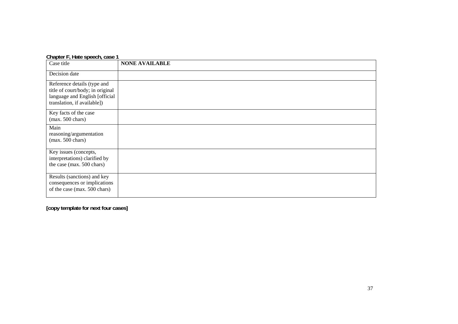#### **Chapter F, Hate speech, case 1**

| Case title                                                                                                                       | <b>NONE AVAILABLE</b> |
|----------------------------------------------------------------------------------------------------------------------------------|-----------------------|
| Decision date                                                                                                                    |                       |
| Reference details (type and<br>title of court/body; in original<br>language and English [official<br>translation, if available]) |                       |
| Key facts of the case<br>$(max. 500 \text{ chars})$                                                                              |                       |
| Main<br>reasoning/argumentation<br>$(max. 500 \text{ chars})$                                                                    |                       |
| Key issues (concepts,<br>interpretations) clarified by<br>the case (max. 500 chars)                                              |                       |
| Results (sanctions) and key<br>consequences or implications<br>of the case (max. 500 chars)                                      |                       |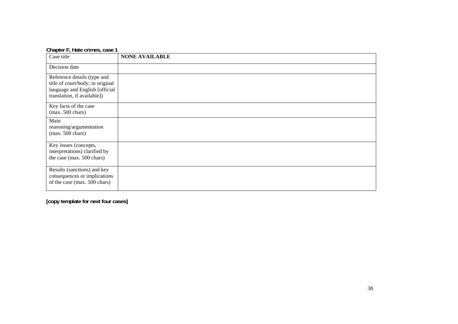| Chapter F, Hate crimes, case 1                                                                                                   |                       |
|----------------------------------------------------------------------------------------------------------------------------------|-----------------------|
| Case title                                                                                                                       | <b>NONE AVAILABLE</b> |
| Decision date                                                                                                                    |                       |
| Reference details (type and<br>title of court/body; in original<br>language and English [official<br>translation, if available]) |                       |
| Key facts of the case<br>$(max. 500 \text{ chars})$                                                                              |                       |
| Main<br>reasoning/argumentation<br>$(max. 500 \text{ chars})$                                                                    |                       |
| Key issues (concepts,<br>interpretations) clarified by<br>the case (max. 500 chars)                                              |                       |
| Results (sanctions) and key<br>consequences or implications<br>of the case (max. 500 chars)                                      |                       |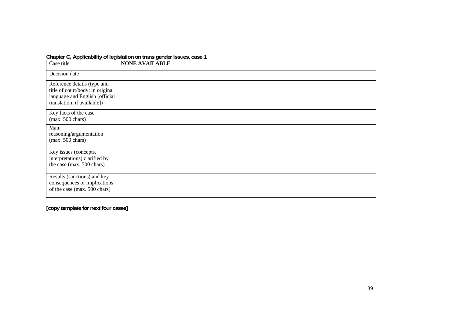|  | Chapter G, Applicability of legislation on trans gender issues, case 1 |  |
|--|------------------------------------------------------------------------|--|
|  |                                                                        |  |

| Case title                                                                                                                       | <b>NONE AVAILABLE</b> |
|----------------------------------------------------------------------------------------------------------------------------------|-----------------------|
| Decision date                                                                                                                    |                       |
| Reference details (type and<br>title of court/body; in original<br>language and English [official<br>translation, if available]) |                       |
| Key facts of the case<br>$(max. 500 \text{ chars})$                                                                              |                       |
| Main<br>reasoning/argumentation<br>(max. 500 chars)                                                                              |                       |
| Key issues (concepts,<br>interpretations) clarified by<br>the case (max. 500 chars)                                              |                       |
| Results (sanctions) and key<br>consequences or implications<br>of the case (max. 500 chars)                                      |                       |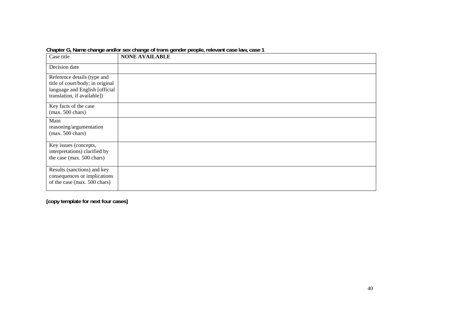| Case title                                                                                                                       | <b>NONE AVAILABLE</b> |
|----------------------------------------------------------------------------------------------------------------------------------|-----------------------|
| Decision date                                                                                                                    |                       |
| Reference details (type and<br>title of court/body; in original<br>language and English [official<br>translation, if available]) |                       |
| Key facts of the case<br>$(max. 500 \text{ chars})$                                                                              |                       |
| Main<br>reasoning/argumentation<br>$(max. 500 \text{ chars})$                                                                    |                       |
| Key issues (concepts,<br>interpretations) clarified by<br>the case (max. 500 chars)                                              |                       |
| Results (sanctions) and key<br>consequences or implications<br>of the case (max. 500 chars)                                      |                       |

Chapter G, Name change and/or sex change of trans gender people, relevant case law, case 1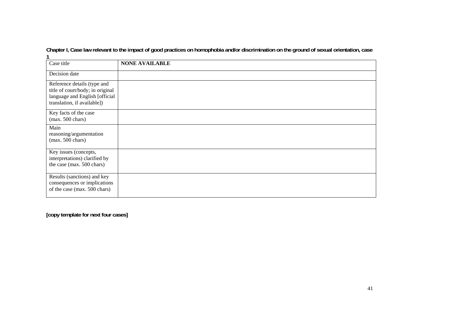**Chapter I, Case law relevant to the impact of good practices on homophobia and/or discrimination on the ground of sexual orientation, case 1** 

| Case title                                                                                                                       | <b>NONE AVAILABLE</b> |
|----------------------------------------------------------------------------------------------------------------------------------|-----------------------|
| Decision date                                                                                                                    |                       |
| Reference details (type and<br>title of court/body; in original<br>language and English [official<br>translation, if available]) |                       |
| Key facts of the case<br>$(max. 500 \text{ chars})$                                                                              |                       |
| Main<br>reasoning/argumentation<br>$(max. 500 \text{ chars})$                                                                    |                       |
| Key issues (concepts,<br>interpretations) clarified by<br>the case (max. 500 chars)                                              |                       |
| Results (sanctions) and key<br>consequences or implications<br>of the case (max. 500 chars)                                      |                       |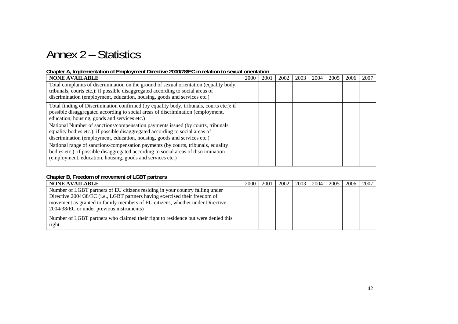# Annex 2 – Statistics

#### **Chapter A, Implementation of Employment Directive 2000/78/EC in relation to sexual orientation**

| <b>NONE AVAILABLE</b>                                                                    | 2000 | 2001 | 2002 | 2003 | 2004 | 2005 | 2006 | 2007 |
|------------------------------------------------------------------------------------------|------|------|------|------|------|------|------|------|
| Total complaints of discrimination on the ground of sexual orientation (equality body,   |      |      |      |      |      |      |      |      |
| tribunals, courts etc.): if possible disaggregated according to social areas of          |      |      |      |      |      |      |      |      |
| discrimination (employment, education, housing, goods and services etc.)                 |      |      |      |      |      |      |      |      |
| Total finding of Discrimination confirmed (by equality body, tribunals, courts etc.): if |      |      |      |      |      |      |      |      |
| possible disaggregated according to social areas of discrimination (employment,          |      |      |      |      |      |      |      |      |
| education, housing, goods and services etc.)                                             |      |      |      |      |      |      |      |      |
| National Number of sanctions/compensation payments issued (by courts, tribunals,         |      |      |      |      |      |      |      |      |
| equality bodies etc.): if possible disaggregated according to social areas of            |      |      |      |      |      |      |      |      |
| discrimination (employment, education, housing, goods and services etc.)                 |      |      |      |      |      |      |      |      |
| National range of sanctions/compensation payments (by courts, tribunals, equality        |      |      |      |      |      |      |      |      |
| bodies etc.): if possible disaggregated according to social areas of discrimination      |      |      |      |      |      |      |      |      |
| (employment, education, housing, goods and services etc.)                                |      |      |      |      |      |      |      |      |
|                                                                                          |      |      |      |      |      |      |      |      |

#### **Chapter B, Freedom of movement of LGBT partners**

| <b>NONE AVAILABLE</b>                                                                                                                                                                                                                                                                      | 2000 | 2001 | 2002 | 2003 | 2004 | 2005 | 2006 | 2007 |
|--------------------------------------------------------------------------------------------------------------------------------------------------------------------------------------------------------------------------------------------------------------------------------------------|------|------|------|------|------|------|------|------|
| Number of LGBT partners of EU citizens residing in your country falling under<br>Directive 2004/38/EC (i.e., LGBT partners having exercised their freedom of<br>movement as granted to family members of EU citizens, whether under Directive<br>2004/38/EC or under previous instruments) |      |      |      |      |      |      |      |      |
| Number of LGBT partners who claimed their right to residence but were denied this<br>right                                                                                                                                                                                                 |      |      |      |      |      |      |      |      |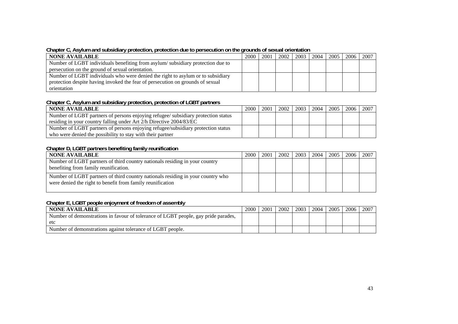#### **Chapter C, Asylum and subsidiary protection, protection due to persecution on the grounds of sexual orientation**

| <b>NONE AVAILABLE</b>                                                           | 2000 | 2001 | 2002 l | 2003 | 2004 | 2005 | 2006 | -2007 |
|---------------------------------------------------------------------------------|------|------|--------|------|------|------|------|-------|
| Number of LGBT individuals benefiting from asylum/subsidiary protection due to  |      |      |        |      |      |      |      |       |
| persecution on the ground of sexual orientation.                                |      |      |        |      |      |      |      |       |
| Number of LGBT individuals who were denied the right to asylum or to subsidiary |      |      |        |      |      |      |      |       |
| protection despite having invoked the fear of persecution on grounds of sexual  |      |      |        |      |      |      |      |       |
| orientation                                                                     |      |      |        |      |      |      |      |       |

#### **Chapter C, Asylum and subsidiary protection, protection of LGBT partners**

| NONE AVAILABLE                                                                    | 2000 | 2001 | 2002 | 2003 | 2004 | 2005 | 2006 l | 2007 |
|-----------------------------------------------------------------------------------|------|------|------|------|------|------|--------|------|
| Number of LGBT partners of persons enjoying refugee/ subsidiary protection status |      |      |      |      |      |      |        |      |
| residing in your country falling under Art 2/h Directive 2004/83/EC               |      |      |      |      |      |      |        |      |
| Number of LGBT partners of persons enjoying refugee/subsidiary protection status  |      |      |      |      |      |      |        |      |
| who were denied the possibility to stay with their partner                        |      |      |      |      |      |      |        |      |

#### **Chapter D, LGBT partners benefiting family reunification**

| <b>NONE AVAILABLE</b>                                                                                                                         | 2000 | 2001 | 2002 | 2003 | 2004 l | 2005 | 2006 l | 2007 |
|-----------------------------------------------------------------------------------------------------------------------------------------------|------|------|------|------|--------|------|--------|------|
| Number of LGBT partners of third country nationals residing in your country<br>benefiting from family reunification.                          |      |      |      |      |        |      |        |      |
| Number of LGBT partners of third country nationals residing in your country who<br>were denied the right to benefit from family reunification |      |      |      |      |        |      |        |      |

#### **Chapter E, LGBT people enjoyment of freedom of assembly**

| <b>NONE AVAILABLE</b>                                                              | 2000 | 200 | 2002 | 2003 | 2004 | 2005 | 2006 | 2007 |
|------------------------------------------------------------------------------------|------|-----|------|------|------|------|------|------|
| Number of demonstrations in favour of tolerance of LGBT people, gay pride parades, |      |     |      |      |      |      |      |      |
| etc                                                                                |      |     |      |      |      |      |      |      |
| Number of demonstrations against tolerance of LGBT people.                         |      |     |      |      |      |      |      |      |